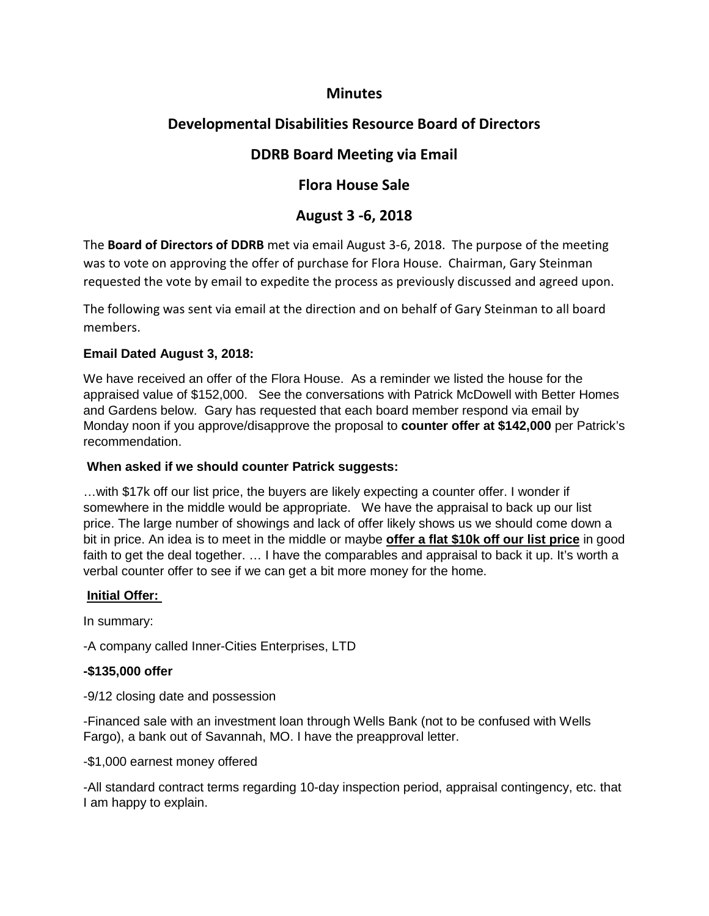## **Minutes**

# **Developmental Disabilities Resource Board of Directors**

# **DDRB Board Meeting via Email**

## **Flora House Sale**

## **August 3 -6, 2018**

The **Board of Directors of DDRB** met via email August 3-6, 2018. The purpose of the meeting was to vote on approving the offer of purchase for Flora House. Chairman, Gary Steinman requested the vote by email to expedite the process as previously discussed and agreed upon.

The following was sent via email at the direction and on behalf of Gary Steinman to all board members.

### **Email Dated August 3, 2018:**

We have received an offer of the Flora House. As a reminder we listed the house for the appraised value of \$152,000. See the conversations with Patrick McDowell with Better Homes and Gardens below. Gary has requested that each board member respond via email by Monday noon if you approve/disapprove the proposal to **counter offer at \$142,000** per Patrick's recommendation.

### **When asked if we should counter Patrick suggests:**

…with \$17k off our list price, the buyers are likely expecting a counter offer. I wonder if somewhere in the middle would be appropriate. We have the appraisal to back up our list price. The large number of showings and lack of offer likely shows us we should come down a bit in price. An idea is to meet in the middle or maybe **offer a flat \$10k off our list price** in good faith to get the deal together. … I have the comparables and appraisal to back it up. It's worth a verbal counter offer to see if we can get a bit more money for the home.

### **Initial Offer:**

In summary:

-A company called Inner-Cities Enterprises, LTD

### **-\$135,000 offer**

-9/12 closing date and possession

-Financed sale with an investment loan through Wells Bank (not to be confused with Wells Fargo), a bank out of Savannah, MO. I have the preapproval letter.

### -\$1,000 earnest money offered

-All standard contract terms regarding 10-day inspection period, appraisal contingency, etc. that I am happy to explain.